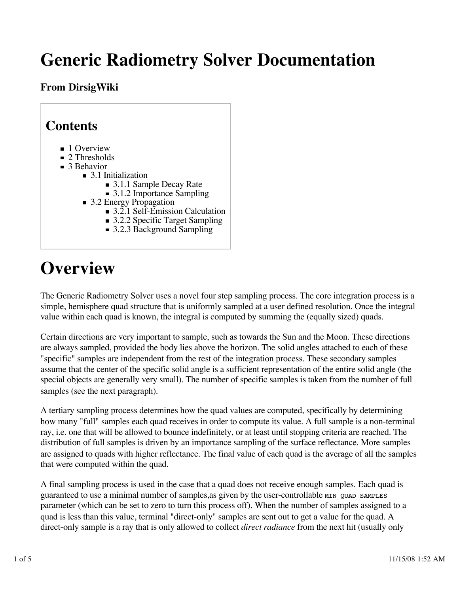# **Generic Radiometry Solver Documentation**

#### **From DirsigWiki**

| <b>Contents</b>                                                                                                                                                                                                                                                                                                                                                                |  |
|--------------------------------------------------------------------------------------------------------------------------------------------------------------------------------------------------------------------------------------------------------------------------------------------------------------------------------------------------------------------------------|--|
| $\blacksquare$ 1 Overview<br>$\blacksquare$ 2 Thresholds<br>$\blacksquare$ 3 Behavior<br>$\blacksquare$ 3.1 Initialization<br>■ 3.1.1 Sample Decay Rate<br>$\blacksquare$ 3.1.2 Importance Sampling<br>$\blacksquare$ 3.2 Energy Propagation<br>$\blacksquare$ 3.2.1 Self-Emission Calculation<br>■ 3.2.2 Specific Target Sampling<br>$\blacksquare$ 3.2.3 Background Sampling |  |

# **Overview**

The Generic Radiometry Solver uses a novel four step sampling process. The core integration process is a simple, hemisphere quad structure that is uniformly sampled at a user defined resolution. Once the integral value within each quad is known, the integral is computed by summing the (equally sized) quads.

Certain directions are very important to sample, such as towards the Sun and the Moon. These directions are always sampled, provided the body lies above the horizon. The solid angles attached to each of these "specific" samples are independent from the rest of the integration process. These secondary samples assume that the center of the specific solid angle is a sufficient representation of the entire solid angle (the special objects are generally very small). The number of specific samples is taken from the number of full samples (see the next paragraph).

A tertiary sampling process determines how the quad values are computed, specifically by determining how many "full" samples each quad receives in order to compute its value. A full sample is a non-terminal ray, i.e. one that will be allowed to bounce indefinitely, or at least until stopping criteria are reached. The distribution of full samples is driven by an importance sampling of the surface reflectance. More samples are assigned to quads with higher reflectance. The final value of each quad is the average of all the samples that were computed within the quad.

A final sampling process is used in the case that a quad does not receive enough samples. Each quad is guaranteed to use a minimal number of samples, as given by the user-controllable MIN QUAD SAMPLES parameter (which can be set to zero to turn this process off). When the number of samples assigned to a quad is less than this value, terminal "direct-only" samples are sent out to get a value for the quad. A direct-only sample is a ray that is only allowed to collect *direct radiance* from the next hit (usually only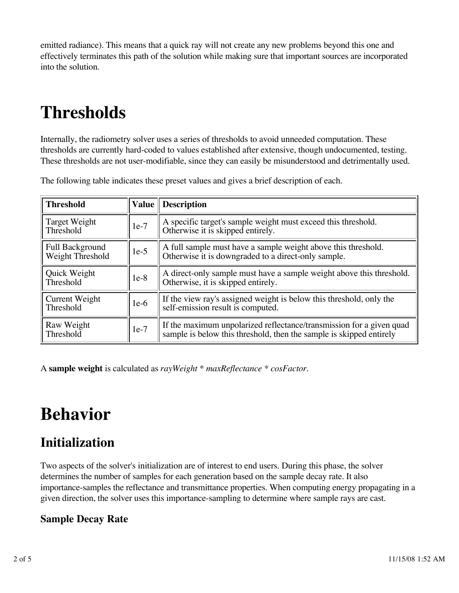emitted radiance). This means that a quick ray will not create any new problems beyond this one and effectively terminates this path of the solution while making sure that important sources are incorporated into the solution.

# **Thresholds**

Internally, the radiometry solver uses a series of thresholds to avoid unneeded computation. These thresholds are currently hard-coded to values established after extensive, though undocumented, testing. These thresholds are not user-modifiable, since they can easily be misunderstood and detrimentally used.

| <b>Threshold</b>                    | <b>Value</b> | <b>Description</b>                                                                                                                          |
|-------------------------------------|--------------|---------------------------------------------------------------------------------------------------------------------------------------------|
| Target Weight<br>Threshold          | $1e-7$       | A specific target's sample weight must exceed this threshold.<br>Otherwise it is skipped entirely.                                          |
| Full Background<br>Weight Threshold | $1e-5$       | A full sample must have a sample weight above this threshold.<br>Otherwise it is downgraded to a direct-only sample.                        |
| Quick Weight<br>Threshold           | $1e-8$       | A direct-only sample must have a sample weight above this threshold.<br>Otherwise, it is skipped entirely.                                  |
| <b>Current Weight</b><br>Threshold  | $1e-6$       | If the view ray's assigned weight is below this threshold, only the<br>self-emission result is computed.                                    |
| Raw Weight<br>Threshold             | $1e-7$       | If the maximum unpolarized reflectance/transmission for a given quad<br>sample is below this threshold, then the sample is skipped entirely |

The following table indicates these preset values and gives a brief description of each.

A **sample weight** is calculated as *rayWeight \* maxReflectance \* cosFactor*.

## **Behavior**

## **Initialization**

Two aspects of the solver's initialization are of interest to end users. During this phase, the solver determines the number of samples for each generation based on the sample decay rate. It also importance-samples the reflectance and transmittance properties. When computing energy propagating in a given direction, the solver uses this importance-sampling to determine where sample rays are cast.

#### **Sample Decay Rate**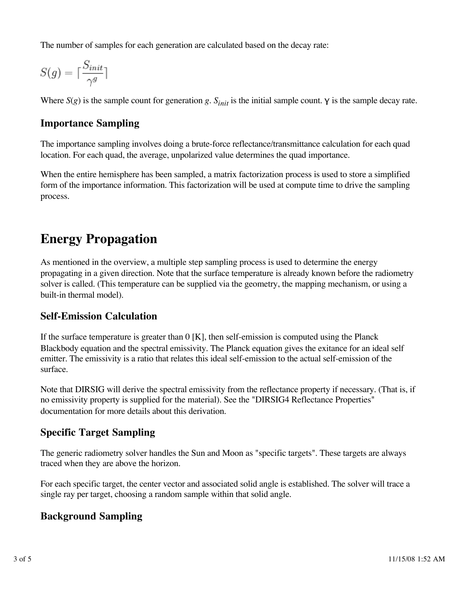The number of samples for each generation are calculated based on the decay rate:

$$
S(g)=\lceil \frac{S_{init}}{\gamma^g}\rceil
$$

Where  $S(g)$  is the sample count for generation *g*.  $S_{init}$  is the initial sample count.  $\gamma$  is the sample decay rate.

#### **Importance Sampling**

The importance sampling involves doing a brute-force reflectance/transmittance calculation for each quad location. For each quad, the average, unpolarized value determines the quad importance.

When the entire hemisphere has been sampled, a matrix factorization process is used to store a simplified form of the importance information. This factorization will be used at compute time to drive the sampling process.

### **Energy Propagation**

As mentioned in the overview, a multiple step sampling process is used to determine the energy propagating in a given direction. Note that the surface temperature is already known before the radiometry solver is called. (This temperature can be supplied via the geometry, the mapping mechanism, or using a built-in thermal model).

#### **Self-Emission Calculation**

If the surface temperature is greater than  $0 \mid K \mid$ , then self-emission is computed using the Planck Blackbody equation and the spectral emissivity. The Planck equation gives the exitance for an ideal self emitter. The emissivity is a ratio that relates this ideal self-emission to the actual self-emission of the surface.

Note that DIRSIG will derive the spectral emissivity from the reflectance property if necessary. (That is, if no emissivity property is supplied for the material). See the "DIRSIG4 Reflectance Properties" documentation for more details about this derivation.

#### **Specific Target Sampling**

The generic radiometry solver handles the Sun and Moon as "specific targets". These targets are always traced when they are above the horizon.

For each specific target, the center vector and associated solid angle is established. The solver will trace a single ray per target, choosing a random sample within that solid angle.

#### **Background Sampling**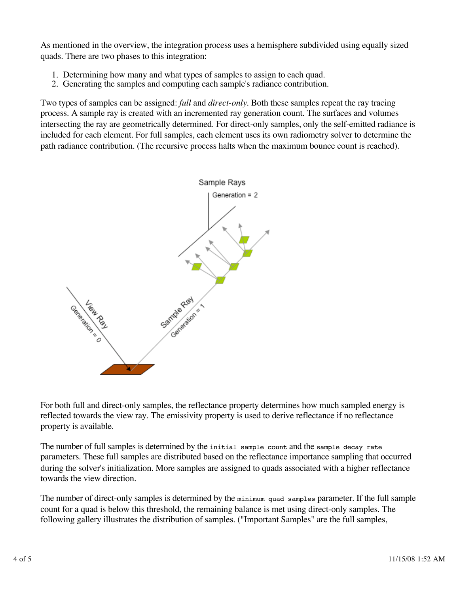As mentioned in the overview, the integration process uses a hemisphere subdivided using equally sized quads. There are two phases to this integration:

- 1. Determining how many and what types of samples to assign to each quad.
- 2. Generating the samples and computing each sample's radiance contribution.

Two types of samples can be assigned: *full* and *direct-only*. Both these samples repeat the ray tracing process. A sample ray is created with an incremented ray generation count. The surfaces and volumes intersecting the ray are geometrically determined. For direct-only samples, only the self-emitted radiance is included for each element. For full samples, each element uses its own radiometry solver to determine the path radiance contribution. (The recursive process halts when the maximum bounce count is reached).



For both full and direct-only samples, the reflectance property determines how much sampled energy is reflected towards the view ray. The emissivity property is used to derive reflectance if no reflectance property is available.

The number of full samples is determined by the initial sample count and the sample decay rate parameters. These full samples are distributed based on the reflectance importance sampling that occurred during the solver's initialization. More samples are assigned to quads associated with a higher reflectance towards the view direction.

The number of direct-only samples is determined by the minimum quad samples parameter. If the full sample count for a quad is below this threshold, the remaining balance is met using direct-only samples. The following gallery illustrates the distribution of samples. ("Important Samples" are the full samples,